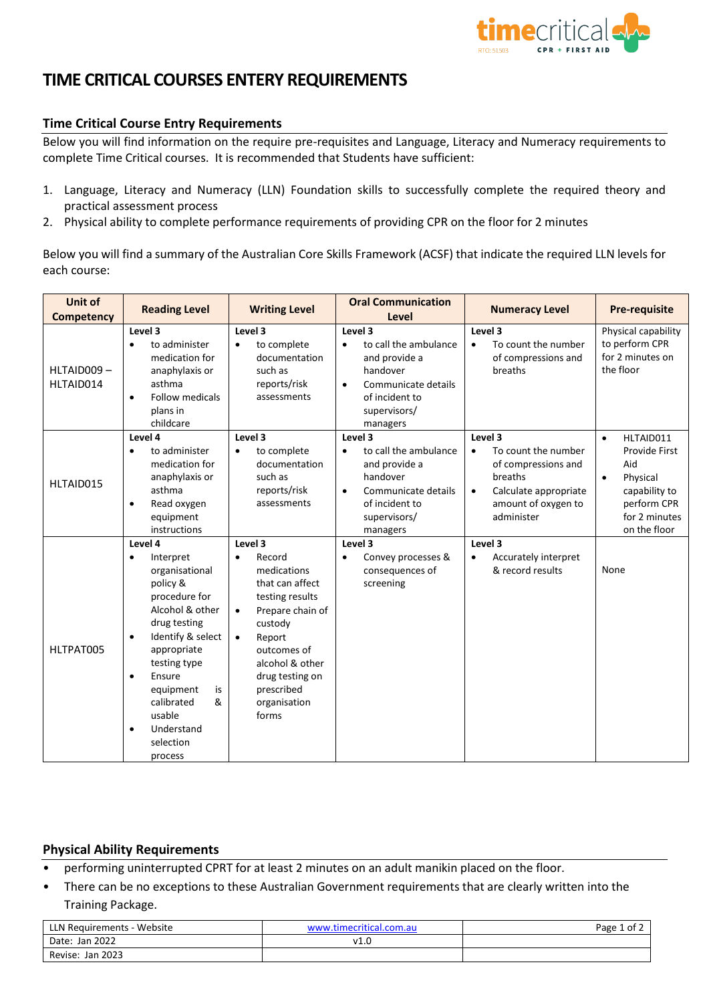

# **TIME CRITICAL COURSES ENTERY REQUIREMENTS**

## **Time Critical Course Entry Requirements**

Below you will find information on the require pre-requisites and Language, Literacy and Numeracy requirements to complete Time Critical courses. It is recommended that Students have sufficient:

- 1. Language, Literacy and Numeracy (LLN) Foundation skills to successfully complete the required theory and practical assessment process
- 2. Physical ability to complete performance requirements of providing CPR on the floor for 2 minutes

Below you will find a summary of the Australian Core Skills Framework (ACSF) that indicate the required LLN levels for each course:

| <b>Unit of</b><br><b>Competency</b> | <b>Reading Level</b>                                                                                                                                                                                                                                                                                           | <b>Writing Level</b>                                                                                                                                                                                                                               | <b>Oral Communication</b><br>Level                                                                                                                           | <b>Numeracy Level</b>                                                                                                                       | <b>Pre-requisite</b>                                                                                                                     |
|-------------------------------------|----------------------------------------------------------------------------------------------------------------------------------------------------------------------------------------------------------------------------------------------------------------------------------------------------------------|----------------------------------------------------------------------------------------------------------------------------------------------------------------------------------------------------------------------------------------------------|--------------------------------------------------------------------------------------------------------------------------------------------------------------|---------------------------------------------------------------------------------------------------------------------------------------------|------------------------------------------------------------------------------------------------------------------------------------------|
| HLTAID009-<br>HLTAID014             | Level 3<br>to administer<br>$\bullet$<br>medication for<br>anaphylaxis or<br>asthma<br><b>Follow medicals</b><br>$\bullet$<br>plans in<br>childcare                                                                                                                                                            | Level 3<br>to complete<br>$\bullet$<br>documentation<br>such as<br>reports/risk<br>assessments                                                                                                                                                     | Level 3<br>to call the ambulance<br>$\bullet$<br>and provide a<br>handover<br>Communicate details<br>$\bullet$<br>of incident to<br>supervisors/<br>managers | Level 3<br>To count the number<br>$\bullet$<br>of compressions and<br>breaths                                                               | Physical capability<br>to perform CPR<br>for 2 minutes on<br>the floor                                                                   |
| HLTAID015                           | Level 4<br>to administer<br>$\bullet$<br>medication for<br>anaphylaxis or<br>asthma<br>Read oxygen<br>$\bullet$<br>equipment<br>instructions                                                                                                                                                                   | Level 3<br>to complete<br>$\bullet$<br>documentation<br>such as<br>reports/risk<br>assessments                                                                                                                                                     | Level 3<br>to call the ambulance<br>$\bullet$<br>and provide a<br>handover<br>Communicate details<br>$\bullet$<br>of incident to<br>supervisors/<br>managers | Level 3<br>To count the number<br>of compressions and<br>breaths<br>Calculate appropriate<br>$\bullet$<br>amount of oxygen to<br>administer | HLTAID011<br>$\bullet$<br>Provide First<br>Aid<br>Physical<br>$\bullet$<br>capability to<br>perform CPR<br>for 2 minutes<br>on the floor |
| HLTPAT005                           | Level 4<br>Interpret<br>$\bullet$<br>organisational<br>policy &<br>procedure for<br>Alcohol & other<br>drug testing<br>Identify & select<br>$\bullet$<br>appropriate<br>testing type<br>Ensure<br>$\bullet$<br>equipment<br>is<br>calibrated<br>&<br>usable<br>Understand<br>$\bullet$<br>selection<br>process | Level 3<br>Record<br>$\bullet$<br>medications<br>that can affect<br>testing results<br>Prepare chain of<br>$\bullet$<br>custody<br>Report<br>$\bullet$<br>outcomes of<br>alcohol & other<br>drug testing on<br>prescribed<br>organisation<br>forms | Level 3<br>Convey processes &<br>$\bullet$<br>consequences of<br>screening                                                                                   | Level 3<br>Accurately interpret<br>& record results                                                                                         | None                                                                                                                                     |

### **Physical Ability Requirements**

- performing uninterrupted CPRT for at least 2 minutes on an adult manikin placed on the floor.
- There can be no exceptions to these Australian Government requirements that are clearly written into the Training Package.

| LLN Requirements - Website | www.timecritical.com.au | Page<br>. of |
|----------------------------|-------------------------|--------------|
| Date: Jan 2022             | v1.0                    |              |
| Jan 2023<br>Revise:        |                         |              |